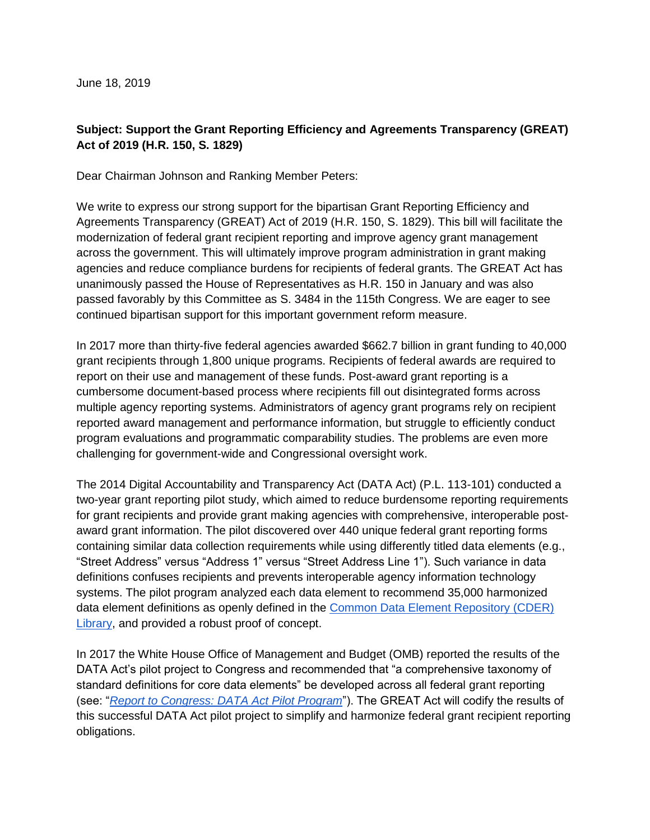June 18, 2019

## **Subject: Support the Grant Reporting Efficiency and Agreements Transparency (GREAT) Act of 2019 (H.R. 150, S. 1829)**

Dear Chairman Johnson and Ranking Member Peters:

We write to express our strong support for the bipartisan Grant Reporting Efficiency and Agreements Transparency (GREAT) Act of 2019 (H.R. 150, S. 1829). This bill will facilitate the modernization of federal grant recipient reporting and improve agency grant management across the government. This will ultimately improve program administration in grant making agencies and reduce compliance burdens for recipients of federal grants. The GREAT Act has unanimously passed the House of Representatives as H.R. 150 in January and was also passed favorably by this Committee as S. 3484 in the 115th Congress. We are eager to see continued bipartisan support for this important government reform measure.

In 2017 more than thirty-five federal agencies awarded \$662.7 billion in grant funding to 40,000 grant recipients through 1,800 unique programs. Recipients of federal awards are required to report on their use and management of these funds. Post-award grant reporting is a cumbersome document-based process where recipients fill out disintegrated forms across multiple agency reporting systems. Administrators of agency grant programs rely on recipient reported award management and performance information, but struggle to efficiently conduct program evaluations and programmatic comparability studies. The problems are even more challenging for government-wide and Congressional oversight work.

The 2014 Digital Accountability and Transparency Act (DATA Act) (P.L. 113-101) conducted a two-year grant reporting pilot study, which aimed to reduce burdensome reporting requirements for grant recipients and provide grant making agencies with comprehensive, interoperable postaward grant information. The pilot discovered over 440 unique federal grant reporting forms containing similar data collection requirements while using differently titled data elements (e.g., "Street Address" versus "Address 1" versus "Street Address Line 1"). Such variance in data definitions confuses recipients and prevents interoperable agency information technology systems. The pilot program analyzed each data element to recommend 35,000 harmonized data element definitions as openly defined in the [Common Data Element Repository \(CDER\)](https://repository.usaspending.gov/cder_library/authorized/dataElements)  [Library,](https://repository.usaspending.gov/cder_library/authorized/dataElements) and provided a robust proof of concept.

In 2017 the White House Office of Management and Budget (OMB) reported the results of the DATA Act's pilot project to Congress and recommended that "a comprehensive taxonomy of standard definitions for core data elements" be developed across all federal grant reporting (see: "*[Report to Congress: DATA Act Pilot Program](https://www.whitehouse.gov/sites/whitehouse.gov/files/omb/sequestration_reports/2017_data_act_section5_report.pdf)*"). The GREAT Act will codify the results of this successful DATA Act pilot project to simplify and harmonize federal grant recipient reporting obligations.